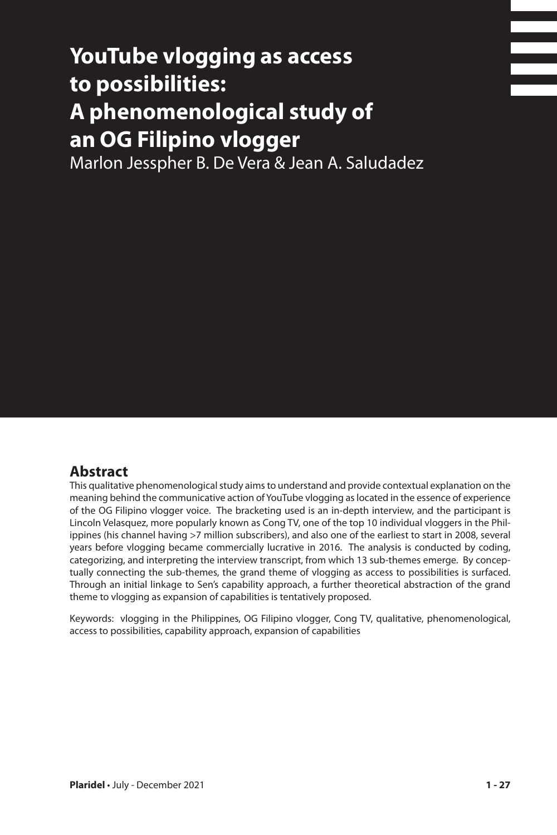# **YouTube vlogging as access to possibilities: A phenomenological study of an OG Filipino vlogger**

Marlon Jesspher B. De Vera & Jean A. Saludadez

### **Abstract**

This qualitative phenomenological study aims to understand and provide contextual explanation on the meaning behind the communicative action of YouTube vlogging as located in the essence of experience of the OG Filipino vlogger voice. The bracketing used is an in-depth interview, and the participant is Lincoln Velasquez, more popularly known as Cong TV, one of the top 10 individual vloggers in the Philippines (his channel having >7 million subscribers), and also one of the earliest to start in 2008, several years before vlogging became commercially lucrative in 2016. The analysis is conducted by coding, categorizing, and interpreting the interview transcript, from which 13 sub-themes emerge. By conceptually connecting the sub-themes, the grand theme of vlogging as access to possibilities is surfaced. Through an initial linkage to Sen's capability approach, a further theoretical abstraction of the grand theme to vlogging as expansion of capabilities is tentatively proposed.

Keywords: vlogging in the Philippines, OG Filipino vlogger, Cong TV, qualitative, phenomenological, access to possibilities, capability approach, expansion of capabilities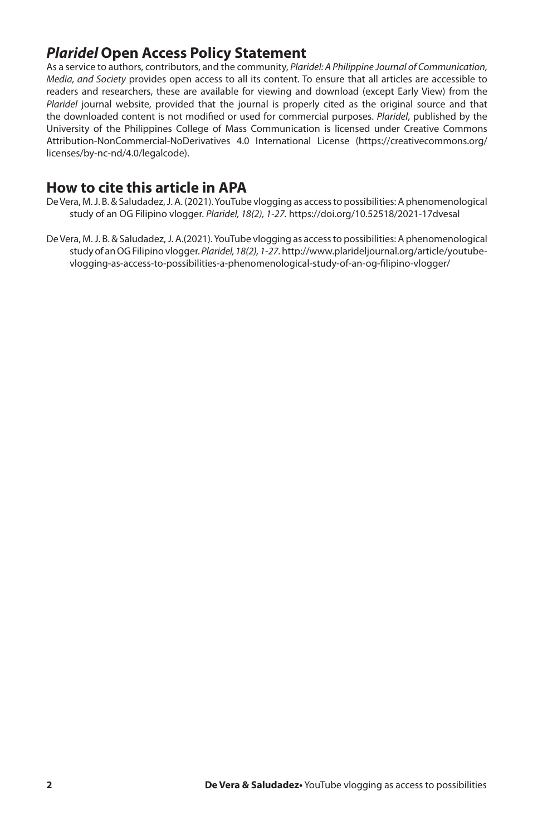# *Plaridel* **Open Access Policy Statement**

As a service to authors, contributors, and the community, *Plaridel: A Philippine Journal of Communication, Media, and Society* provides open access to all its content. To ensure that all articles are accessible to readers and researchers, these are available for viewing and download (except Early View) from the *Plaridel* journal website, provided that the journal is properly cited as the original source and that the downloaded content is not modified or used for commercial purposes. *Plaridel*, published by the University of the Philippines College of Mass Communication is licensed under Creative Commons Attribution-NonCommercial-NoDerivatives 4.0 International License (https://creativecommons.org/ licenses/by-nc-nd/4.0/legalcode).

### **How to cite this article in APA**

- De Vera, M. J. B. & Saludadez, J. A. (2021). YouTube vlogging as access to possibilities: A phenomenological study of an OG Filipino vlogger. *Plaridel, 18(2), 1-27.* https://doi.org/10.52518/2021-17dvesal
- De Vera, M. J. B. & Saludadez, J. A.(2021). YouTube vlogging as access to possibilities: A phenomenological study of an OG Filipino vlogger. *Plaridel, 18(2), 1-27.* http://www.plarideljournal.org/article/youtubevlogging-as-access-to-possibilities-a-phenomenological-study-of-an-og-filipino-vlogger/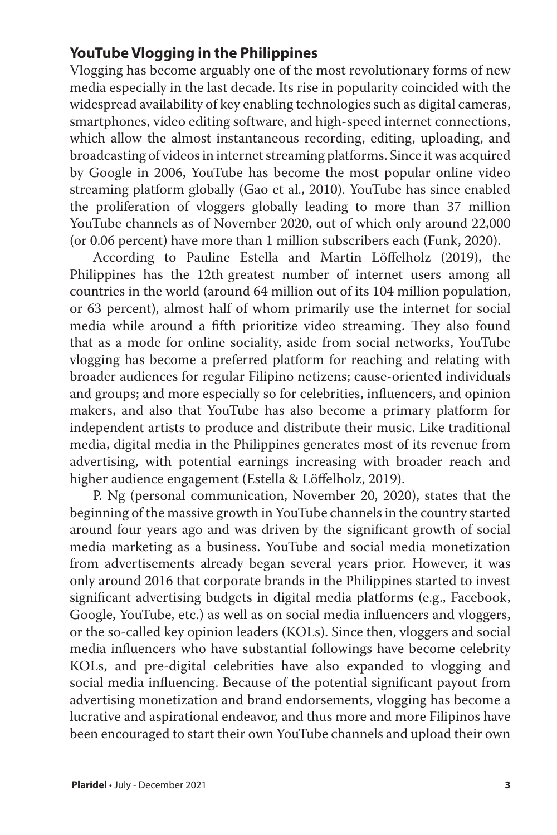# **YouTube Vlogging in the Philippines**

Vlogging has become arguably one of the most revolutionary forms of new media especially in the last decade. Its rise in popularity coincided with the widespread availability of key enabling technologies such as digital cameras, smartphones, video editing software, and high-speed internet connections, which allow the almost instantaneous recording, editing, uploading, and broadcasting of videos in internet streaming platforms. Since it was acquired by Google in 2006, YouTube has become the most popular online video streaming platform globally (Gao et al., 2010). YouTube has since enabled the proliferation of vloggers globally leading to more than 37 million YouTube channels as of November 2020, out of which only around 22,000 (or 0.06 percent) have more than 1 million subscribers each (Funk, 2020).

According to Pauline Estella and Martin Löffelholz (2019), the Philippines has the 12th greatest number of internet users among all countries in the world (around 64 million out of its 104 million population, or 63 percent), almost half of whom primarily use the internet for social media while around a fifth prioritize video streaming. They also found that as a mode for online sociality, aside from social networks, YouTube vlogging has become a preferred platform for reaching and relating with broader audiences for regular Filipino netizens; cause-oriented individuals and groups; and more especially so for celebrities, influencers, and opinion makers, and also that YouTube has also become a primary platform for independent artists to produce and distribute their music. Like traditional media, digital media in the Philippines generates most of its revenue from advertising, with potential earnings increasing with broader reach and higher audience engagement (Estella & Löffelholz, 2019).

P. Ng (personal communication, November 20, 2020), states that the beginning of the massive growth in YouTube channels in the country started around four years ago and was driven by the significant growth of social media marketing as a business. YouTube and social media monetization from advertisements already began several years prior. However, it was only around 2016 that corporate brands in the Philippines started to invest significant advertising budgets in digital media platforms (e.g., Facebook, Google, YouTube, etc.) as well as on social media influencers and vloggers, or the so-called key opinion leaders (KOLs). Since then, vloggers and social media influencers who have substantial followings have become celebrity KOLs, and pre-digital celebrities have also expanded to vlogging and social media influencing. Because of the potential significant payout from advertising monetization and brand endorsements, vlogging has become a lucrative and aspirational endeavor, and thus more and more Filipinos have been encouraged to start their own YouTube channels and upload their own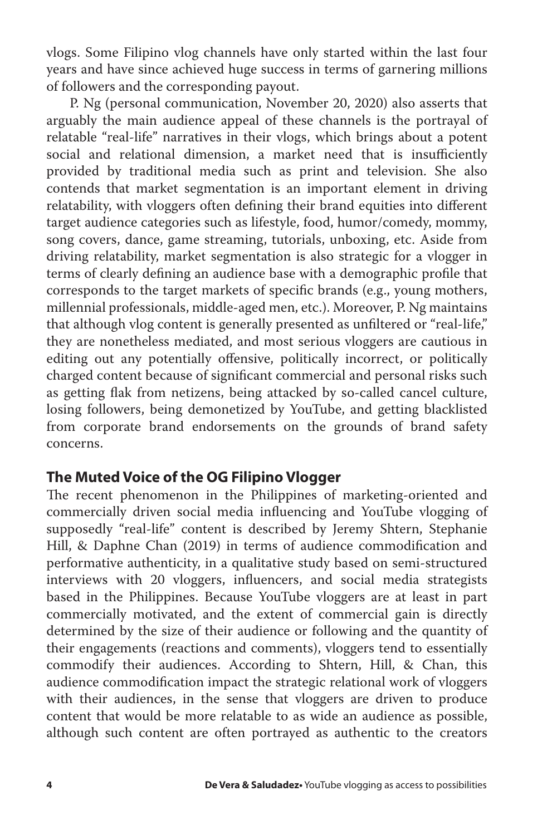vlogs. Some Filipino vlog channels have only started within the last four years and have since achieved huge success in terms of garnering millions of followers and the corresponding payout.

P. Ng (personal communication, November 20, 2020) also asserts that arguably the main audience appeal of these channels is the portrayal of relatable "real-life" narratives in their vlogs, which brings about a potent social and relational dimension, a market need that is insufficiently provided by traditional media such as print and television. She also contends that market segmentation is an important element in driving relatability, with vloggers often defining their brand equities into different target audience categories such as lifestyle, food, humor/comedy, mommy, song covers, dance, game streaming, tutorials, unboxing, etc. Aside from driving relatability, market segmentation is also strategic for a vlogger in terms of clearly defining an audience base with a demographic profile that corresponds to the target markets of specific brands (e.g., young mothers, millennial professionals, middle-aged men, etc.). Moreover, P. Ng maintains that although vlog content is generally presented as unfiltered or "real-life," they are nonetheless mediated, and most serious vloggers are cautious in editing out any potentially offensive, politically incorrect, or politically charged content because of significant commercial and personal risks such as getting flak from netizens, being attacked by so-called cancel culture, losing followers, being demonetized by YouTube, and getting blacklisted from corporate brand endorsements on the grounds of brand safety concerns.

## **The Muted Voice of the OG Filipino Vlogger**

The recent phenomenon in the Philippines of marketing-oriented and commercially driven social media influencing and YouTube vlogging of supposedly "real-life" content is described by Jeremy Shtern, Stephanie Hill, & Daphne Chan (2019) in terms of audience commodification and performative authenticity, in a qualitative study based on semi-structured interviews with 20 vloggers, influencers, and social media strategists based in the Philippines. Because YouTube vloggers are at least in part commercially motivated, and the extent of commercial gain is directly determined by the size of their audience or following and the quantity of their engagements (reactions and comments), vloggers tend to essentially commodify their audiences. According to Shtern, Hill, & Chan, this audience commodification impact the strategic relational work of vloggers with their audiences, in the sense that vloggers are driven to produce content that would be more relatable to as wide an audience as possible, although such content are often portrayed as authentic to the creators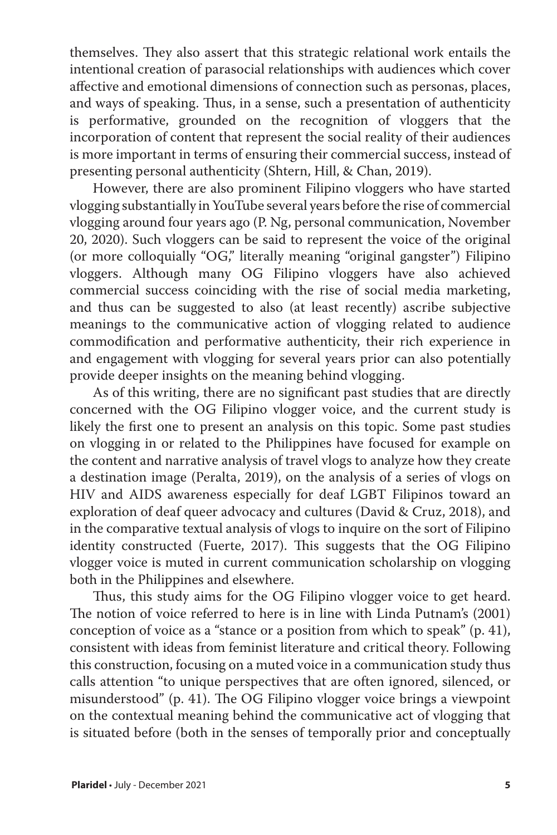themselves. They also assert that this strategic relational work entails the intentional creation of parasocial relationships with audiences which cover affective and emotional dimensions of connection such as personas, places, and ways of speaking. Thus, in a sense, such a presentation of authenticity is performative, grounded on the recognition of vloggers that the incorporation of content that represent the social reality of their audiences is more important in terms of ensuring their commercial success, instead of presenting personal authenticity (Shtern, Hill, & Chan, 2019).

However, there are also prominent Filipino vloggers who have started vlogging substantially in YouTube several years before the rise of commercial vlogging around four years ago (P. Ng, personal communication, November 20, 2020). Such vloggers can be said to represent the voice of the original (or more colloquially "OG," literally meaning "original gangster") Filipino vloggers. Although many OG Filipino vloggers have also achieved commercial success coinciding with the rise of social media marketing, and thus can be suggested to also (at least recently) ascribe subjective meanings to the communicative action of vlogging related to audience commodification and performative authenticity, their rich experience in and engagement with vlogging for several years prior can also potentially provide deeper insights on the meaning behind vlogging.

As of this writing, there are no significant past studies that are directly concerned with the OG Filipino vlogger voice, and the current study is likely the first one to present an analysis on this topic. Some past studies on vlogging in or related to the Philippines have focused for example on the content and narrative analysis of travel vlogs to analyze how they create a destination image (Peralta, 2019), on the analysis of a series of vlogs on HIV and AIDS awareness especially for deaf LGBT Filipinos toward an exploration of deaf queer advocacy and cultures (David & Cruz, 2018), and in the comparative textual analysis of vlogs to inquire on the sort of Filipino identity constructed (Fuerte, 2017). This suggests that the OG Filipino vlogger voice is muted in current communication scholarship on vlogging both in the Philippines and elsewhere.

Thus, this study aims for the OG Filipino vlogger voice to get heard. The notion of voice referred to here is in line with Linda Putnam's (2001) conception of voice as a "stance or a position from which to speak" (p. 41), consistent with ideas from feminist literature and critical theory. Following this construction, focusing on a muted voice in a communication study thus calls attention "to unique perspectives that are often ignored, silenced, or misunderstood" (p. 41). The OG Filipino vlogger voice brings a viewpoint on the contextual meaning behind the communicative act of vlogging that is situated before (both in the senses of temporally prior and conceptually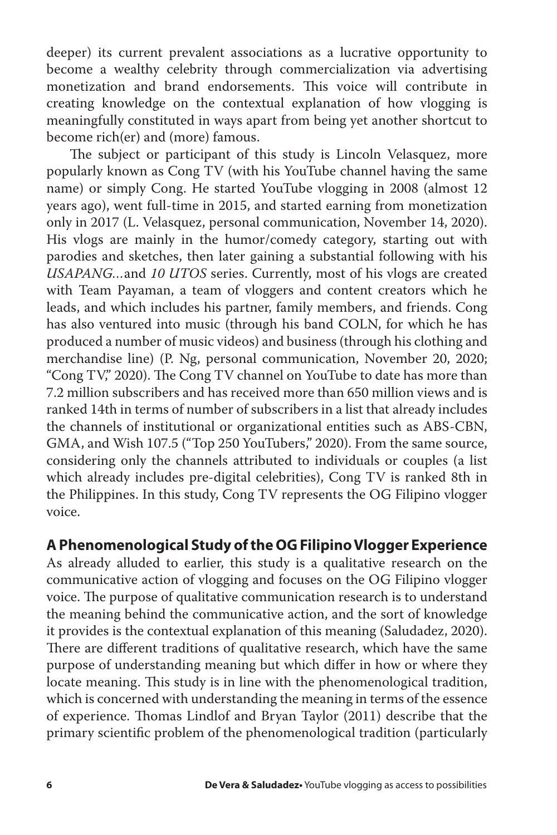deeper) its current prevalent associations as a lucrative opportunity to become a wealthy celebrity through commercialization via advertising monetization and brand endorsements. This voice will contribute in creating knowledge on the contextual explanation of how vlogging is meaningfully constituted in ways apart from being yet another shortcut to become rich(er) and (more) famous.

The subject or participant of this study is Lincoln Velasquez, more popularly known as Cong TV (with his YouTube channel having the same name) or simply Cong. He started YouTube vlogging in 2008 (almost 12 years ago), went full-time in 2015, and started earning from monetization only in 2017 (L. Velasquez, personal communication, November 14, 2020). His vlogs are mainly in the humor/comedy category, starting out with parodies and sketches, then later gaining a substantial following with his *USAPANG…*and *10 UTOS* series. Currently, most of his vlogs are created with Team Payaman, a team of vloggers and content creators which he leads, and which includes his partner, family members, and friends. Cong has also ventured into music (through his band COLN, for which he has produced a number of music videos) and business (through his clothing and merchandise line) (P. Ng, personal communication, November 20, 2020; "Cong TV," 2020). The Cong TV channel on YouTube to date has more than 7.2 million subscribers and has received more than 650 million views and is ranked 14th in terms of number of subscribers in a list that already includes the channels of institutional or organizational entities such as ABS-CBN, GMA, and Wish 107.5 ("Top 250 YouTubers," 2020). From the same source, considering only the channels attributed to individuals or couples (a list which already includes pre-digital celebrities), Cong TV is ranked 8th in the Philippines. In this study, Cong TV represents the OG Filipino vlogger voice.

## **A Phenomenological Study of the OG Filipino Vlogger Experience**

As already alluded to earlier, this study is a qualitative research on the communicative action of vlogging and focuses on the OG Filipino vlogger voice. The purpose of qualitative communication research is to understand the meaning behind the communicative action, and the sort of knowledge it provides is the contextual explanation of this meaning (Saludadez, 2020). There are different traditions of qualitative research, which have the same purpose of understanding meaning but which differ in how or where they locate meaning. This study is in line with the phenomenological tradition, which is concerned with understanding the meaning in terms of the essence of experience. Thomas Lindlof and Bryan Taylor (2011) describe that the primary scientific problem of the phenomenological tradition (particularly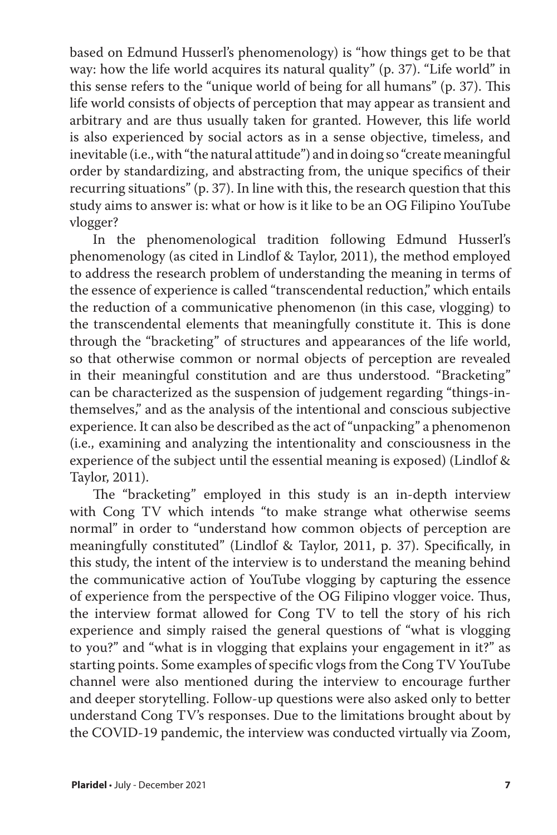based on Edmund Husserl's phenomenology) is "how things get to be that way: how the life world acquires its natural quality" (p. 37). "Life world" in this sense refers to the "unique world of being for all humans" (p. 37). This life world consists of objects of perception that may appear as transient and arbitrary and are thus usually taken for granted. However, this life world is also experienced by social actors as in a sense objective, timeless, and inevitable (i.e., with "the natural attitude") and in doing so "create meaningful order by standardizing, and abstracting from, the unique specifics of their recurring situations" (p. 37). In line with this, the research question that this study aims to answer is: what or how is it like to be an OG Filipino YouTube vlogger?

In the phenomenological tradition following Edmund Husserl's phenomenology (as cited in Lindlof & Taylor, 2011), the method employed to address the research problem of understanding the meaning in terms of the essence of experience is called "transcendental reduction," which entails the reduction of a communicative phenomenon (in this case, vlogging) to the transcendental elements that meaningfully constitute it. This is done through the "bracketing" of structures and appearances of the life world, so that otherwise common or normal objects of perception are revealed in their meaningful constitution and are thus understood. "Bracketing" can be characterized as the suspension of judgement regarding "things-inthemselves," and as the analysis of the intentional and conscious subjective experience. It can also be described as the act of "unpacking" a phenomenon (i.e., examining and analyzing the intentionality and consciousness in the experience of the subject until the essential meaning is exposed) (Lindlof & Taylor, 2011).

The "bracketing" employed in this study is an in-depth interview with Cong TV which intends "to make strange what otherwise seems normal" in order to "understand how common objects of perception are meaningfully constituted" (Lindlof & Taylor, 2011, p. 37). Specifically, in this study, the intent of the interview is to understand the meaning behind the communicative action of YouTube vlogging by capturing the essence of experience from the perspective of the OG Filipino vlogger voice. Thus, the interview format allowed for Cong TV to tell the story of his rich experience and simply raised the general questions of "what is vlogging to you?" and "what is in vlogging that explains your engagement in it?" as starting points. Some examples of specific vlogs from the Cong TV YouTube channel were also mentioned during the interview to encourage further and deeper storytelling. Follow-up questions were also asked only to better understand Cong TV's responses. Due to the limitations brought about by the COVID-19 pandemic, the interview was conducted virtually via Zoom,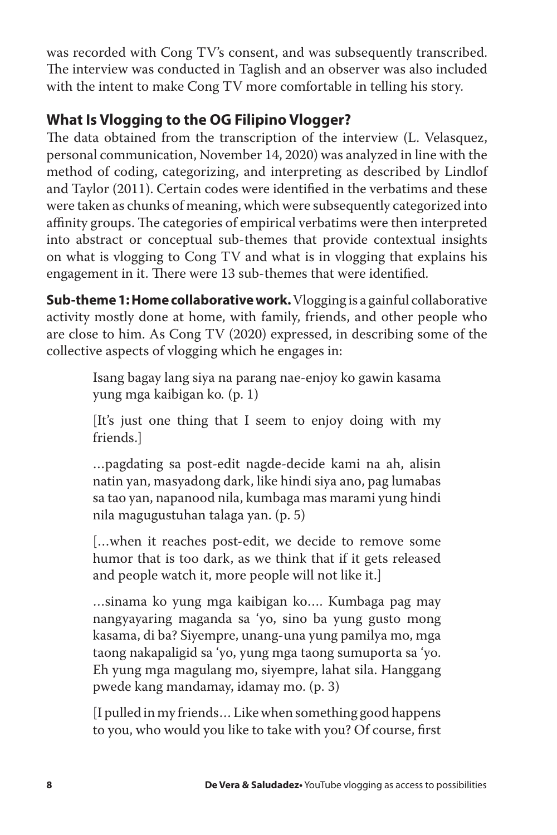was recorded with Cong TV's consent, and was subsequently transcribed. The interview was conducted in Taglish and an observer was also included with the intent to make Cong TV more comfortable in telling his story.

# **What Is Vlogging to the OG Filipino Vlogger?**

The data obtained from the transcription of the interview (L. Velasquez, personal communication, November 14, 2020) was analyzed in line with the method of coding, categorizing, and interpreting as described by Lindlof and Taylor (2011). Certain codes were identified in the verbatims and these were taken as chunks of meaning, which were subsequently categorized into affinity groups. The categories of empirical verbatims were then interpreted into abstract or conceptual sub-themes that provide contextual insights on what is vlogging to Cong TV and what is in vlogging that explains his engagement in it. There were 13 sub-themes that were identified.

**Sub-theme 1: Home collaborative work.**Vlogging is a gainful collaborative activity mostly done at home, with family, friends, and other people who are close to him. As Cong TV (2020) expressed, in describing some of the collective aspects of vlogging which he engages in:

> Isang bagay lang siya na parang nae-enjoy ko gawin kasama yung mga kaibigan ko*.* (p. 1)

> [It's just one thing that I seem to enjoy doing with my friends.]

> …pagdating sa post-edit nagde-decide kami na ah, alisin natin yan, masyadong dark, like hindi siya ano, pag lumabas sa tao yan, napanood nila, kumbaga mas marami yung hindi nila magugustuhan talaga yan. (p. 5)

> [...when it reaches post-edit, we decide to remove some humor that is too dark, as we think that if it gets released and people watch it, more people will not like it.]

> …sinama ko yung mga kaibigan ko…. Kumbaga pag may nangyayaring maganda sa 'yo, sino ba yung gusto mong kasama, di ba? Siyempre, unang-una yung pamilya mo, mga taong nakapaligid sa 'yo, yung mga taong sumuporta sa 'yo. Eh yung mga magulang mo, siyempre, lahat sila. Hanggang pwede kang mandamay, idamay mo. (p. 3)

> [I pulled in my friends… Like when something good happens to you, who would you like to take with you? Of course, first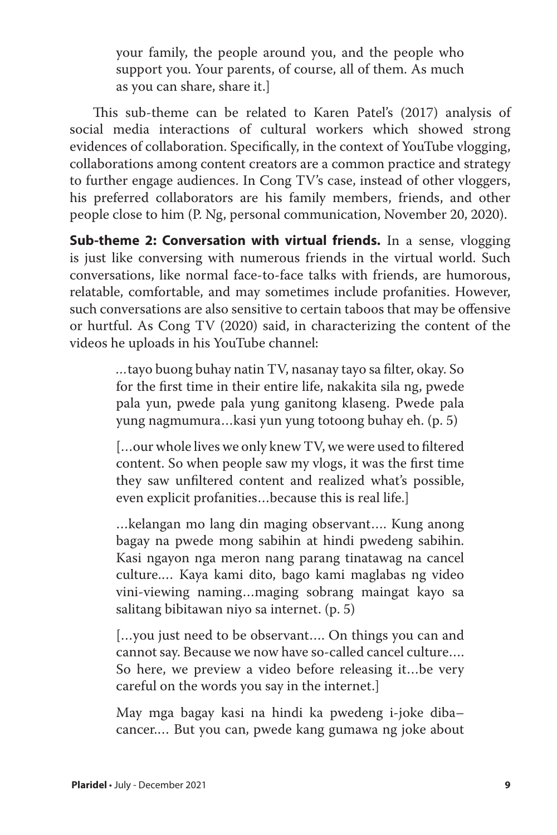your family, the people around you, and the people who support you. Your parents, of course, all of them. As much as you can share, share it.]

This sub-theme can be related to Karen Patel's (2017) analysis of social media interactions of cultural workers which showed strong evidences of collaboration. Specifically, in the context of YouTube vlogging, collaborations among content creators are a common practice and strategy to further engage audiences. In Cong TV's case, instead of other vloggers, his preferred collaborators are his family members, friends, and other people close to him (P. Ng, personal communication, November 20, 2020).

**Sub-theme 2: Conversation with virtual friends.** In a sense, vlogging is just like conversing with numerous friends in the virtual world. Such conversations, like normal face-to-face talks with friends, are humorous, relatable, comfortable, and may sometimes include profanities. However, such conversations are also sensitive to certain taboos that may be offensive or hurtful. As Cong TV (2020) said, in characterizing the content of the videos he uploads in his YouTube channel:

> *…*tayo buong buhay natin TV, nasanay tayo sa filter, okay. So for the first time in their entire life, nakakita sila ng, pwede pala yun, pwede pala yung ganitong klaseng. Pwede pala yung nagmumura…kasi yun yung totoong buhay eh. (p. 5)

> […our whole lives we only knew TV, we were used to filtered content. So when people saw my vlogs, it was the first time they saw unfiltered content and realized what's possible, even explicit profanities…because this is real life.]

> …kelangan mo lang din maging observant…. Kung anong bagay na pwede mong sabihin at hindi pwedeng sabihin. Kasi ngayon nga meron nang parang tinatawag na cancel culture.… Kaya kami dito, bago kami maglabas ng video vini-viewing naming…maging sobrang maingat kayo sa salitang bibitawan niyo sa internet. (p. 5)

> […you just need to be observant…. On things you can and cannot say. Because we now have so-called cancel culture…. So here, we preview a video before releasing it…be very careful on the words you say in the internet.]

> May mga bagay kasi na hindi ka pwedeng i-joke diba– cancer.… But you can, pwede kang gumawa ng joke about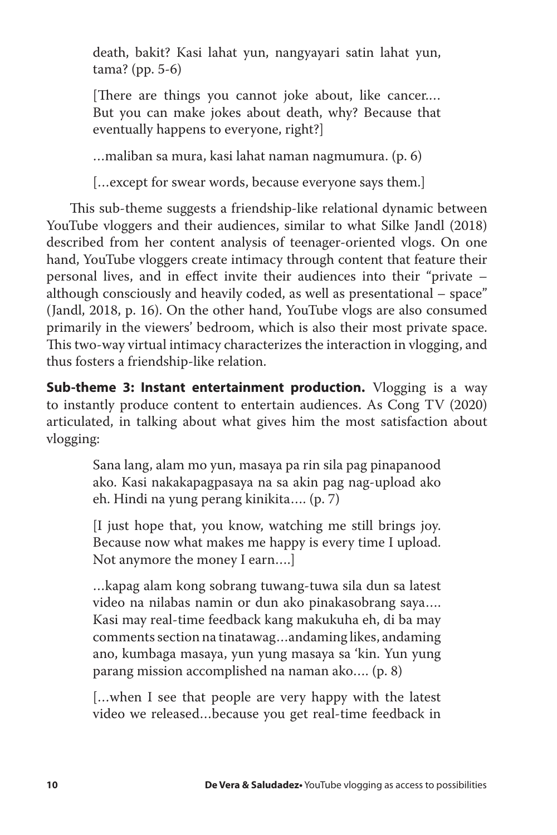death, bakit? Kasi lahat yun, nangyayari satin lahat yun, tama? (pp. 5-6)

[There are things you cannot joke about, like cancer.… But you can make jokes about death, why? Because that eventually happens to everyone, right?]

…maliban sa mura, kasi lahat naman nagmumura. (p. 6)

[…except for swear words, because everyone says them.]

This sub-theme suggests a friendship-like relational dynamic between YouTube vloggers and their audiences, similar to what Silke Jandl (2018) described from her content analysis of teenager-oriented vlogs. On one hand, YouTube vloggers create intimacy through content that feature their personal lives, and in effect invite their audiences into their "private – although consciously and heavily coded, as well as presentational – space" (Jandl, 2018, p. 16). On the other hand, YouTube vlogs are also consumed primarily in the viewers' bedroom, which is also their most private space. This two-way virtual intimacy characterizes the interaction in vlogging, and thus fosters a friendship-like relation.

**Sub-theme 3: Instant entertainment production.** Vlogging is a way to instantly produce content to entertain audiences. As Cong TV (2020) articulated, in talking about what gives him the most satisfaction about vlogging:

> Sana lang, alam mo yun, masaya pa rin sila pag pinapanood ako. Kasi nakakapagpasaya na sa akin pag nag-upload ako eh. Hindi na yung perang kinikita…. (p. 7)

> [I just hope that, you know, watching me still brings joy. Because now what makes me happy is every time I upload. Not anymore the money I earn….]

> …kapag alam kong sobrang tuwang-tuwa sila dun sa latest video na nilabas namin or dun ako pinakasobrang saya…. Kasi may real-time feedback kang makukuha eh, di ba may comments section na tinatawag…andaming likes, andaming ano, kumbaga masaya, yun yung masaya sa 'kin. Yun yung parang mission accomplished na naman ako…. (p. 8)

> […when I see that people are very happy with the latest video we released…because you get real-time feedback in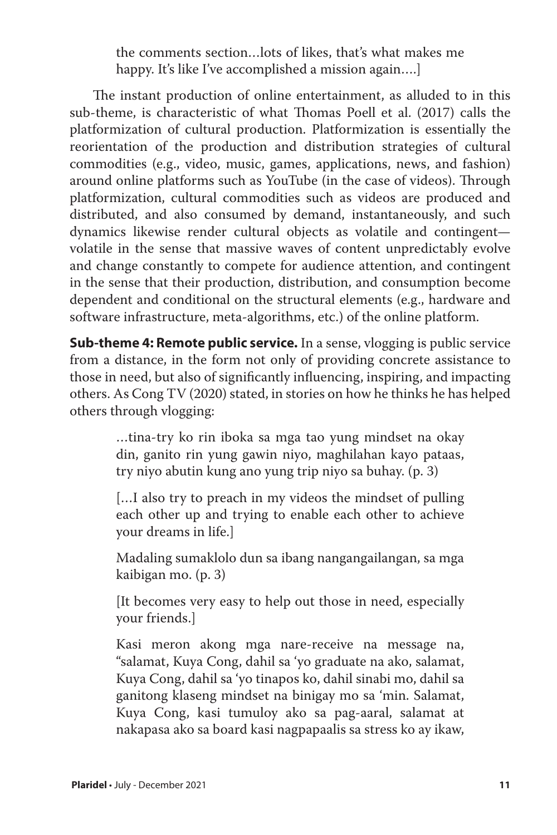the comments section…lots of likes, that's what makes me happy. It's like I've accomplished a mission again….]

The instant production of online entertainment, as alluded to in this sub-theme, is characteristic of what Thomas Poell et al. (2017) calls the platformization of cultural production. Platformization is essentially the reorientation of the production and distribution strategies of cultural commodities (e.g., video, music, games, applications, news, and fashion) around online platforms such as YouTube (in the case of videos). Through platformization, cultural commodities such as videos are produced and distributed, and also consumed by demand, instantaneously, and such dynamics likewise render cultural objects as volatile and contingent volatile in the sense that massive waves of content unpredictably evolve and change constantly to compete for audience attention, and contingent in the sense that their production, distribution, and consumption become dependent and conditional on the structural elements (e.g., hardware and software infrastructure, meta-algorithms, etc.) of the online platform.

**Sub-theme 4: Remote public service.** In a sense, vlogging is public service from a distance, in the form not only of providing concrete assistance to those in need, but also of significantly influencing, inspiring, and impacting others. As Cong TV (2020) stated, in stories on how he thinks he has helped others through vlogging:

> …tina-try ko rin iboka sa mga tao yung mindset na okay din, ganito rin yung gawin niyo, maghilahan kayo pataas, try niyo abutin kung ano yung trip niyo sa buhay. (p. 3)

> […I also try to preach in my videos the mindset of pulling each other up and trying to enable each other to achieve your dreams in life.]

> Madaling sumaklolo dun sa ibang nangangailangan, sa mga kaibigan mo. (p. 3)

> [It becomes very easy to help out those in need, especially your friends.]

> Kasi meron akong mga nare-receive na message na, "salamat, Kuya Cong, dahil sa 'yo graduate na ako, salamat, Kuya Cong, dahil sa 'yo tinapos ko, dahil sinabi mo, dahil sa ganitong klaseng mindset na binigay mo sa 'min. Salamat, Kuya Cong, kasi tumuloy ako sa pag-aaral, salamat at nakapasa ako sa board kasi nagpapaalis sa stress ko ay ikaw,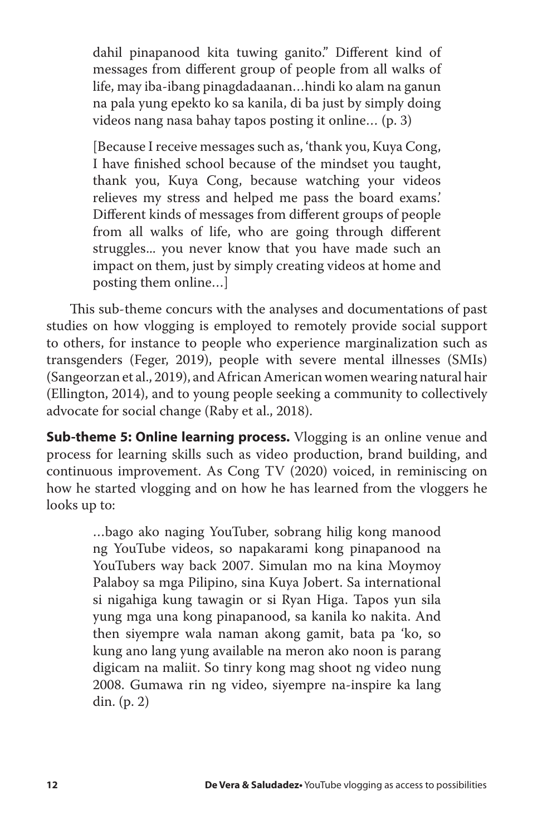dahil pinapanood kita tuwing ganito." Different kind of messages from different group of people from all walks of life, may iba-ibang pinagdadaanan…hindi ko alam na ganun na pala yung epekto ko sa kanila, di ba just by simply doing videos nang nasa bahay tapos posting it online… (p. 3)

[Because I receive messages such as, 'thank you, Kuya Cong, I have finished school because of the mindset you taught, thank you, Kuya Cong, because watching your videos relieves my stress and helped me pass the board exams.' Different kinds of messages from different groups of people from all walks of life, who are going through different struggles... you never know that you have made such an impact on them, just by simply creating videos at home and posting them online…]

This sub-theme concurs with the analyses and documentations of past studies on how vlogging is employed to remotely provide social support to others, for instance to people who experience marginalization such as transgenders (Feger, 2019), people with severe mental illnesses (SMIs) (Sangeorzan et al., 2019), and African American women wearing natural hair (Ellington, 2014), and to young people seeking a community to collectively advocate for social change (Raby et al., 2018).

**Sub-theme 5: Online learning process.** Vlogging is an online venue and process for learning skills such as video production, brand building, and continuous improvement. As Cong TV (2020) voiced, in reminiscing on how he started vlogging and on how he has learned from the vloggers he looks up to:

> …bago ako naging YouTuber, sobrang hilig kong manood ng YouTube videos, so napakarami kong pinapanood na YouTubers way back 2007. Simulan mo na kina Moymoy Palaboy sa mga Pilipino, sina Kuya Jobert. Sa international si nigahiga kung tawagin or si Ryan Higa. Tapos yun sila yung mga una kong pinapanood, sa kanila ko nakita. And then siyempre wala naman akong gamit, bata pa 'ko, so kung ano lang yung available na meron ako noon is parang digicam na maliit. So tinry kong mag shoot ng video nung 2008. Gumawa rin ng video, siyempre na-inspire ka lang din. (p. 2)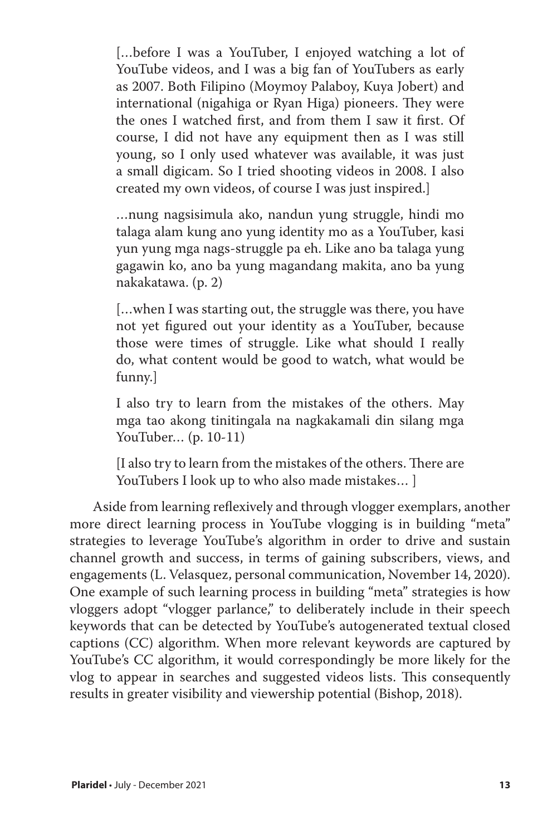[...before I was a YouTuber, I enjoyed watching a lot of YouTube videos, and I was a big fan of YouTubers as early as 2007. Both Filipino (Moymoy Palaboy, Kuya Jobert) and international (nigahiga or Ryan Higa) pioneers. They were the ones I watched first, and from them I saw it first. Of course, I did not have any equipment then as I was still young, so I only used whatever was available, it was just a small digicam. So I tried shooting videos in 2008. I also created my own videos, of course I was just inspired.]

…nung nagsisimula ako, nandun yung struggle, hindi mo talaga alam kung ano yung identity mo as a YouTuber, kasi yun yung mga nags-struggle pa eh. Like ano ba talaga yung gagawin ko, ano ba yung magandang makita, ano ba yung nakakatawa. (p. 2)

[...when I was starting out, the struggle was there, you have not yet figured out your identity as a YouTuber, because those were times of struggle. Like what should I really do, what content would be good to watch, what would be funny.]

I also try to learn from the mistakes of the others. May mga tao akong tinitingala na nagkakamali din silang mga YouTuber… (p. 10-11)

[I also try to learn from the mistakes of the others. There are YouTubers I look up to who also made mistakes… ]

Aside from learning reflexively and through vlogger exemplars, another more direct learning process in YouTube vlogging is in building "meta" strategies to leverage YouTube's algorithm in order to drive and sustain channel growth and success, in terms of gaining subscribers, views, and engagements (L. Velasquez, personal communication, November 14, 2020). One example of such learning process in building "meta" strategies is how vloggers adopt "vlogger parlance," to deliberately include in their speech keywords that can be detected by YouTube's autogenerated textual closed captions (CC) algorithm. When more relevant keywords are captured by YouTube's CC algorithm, it would correspondingly be more likely for the vlog to appear in searches and suggested videos lists. This consequently results in greater visibility and viewership potential (Bishop, 2018).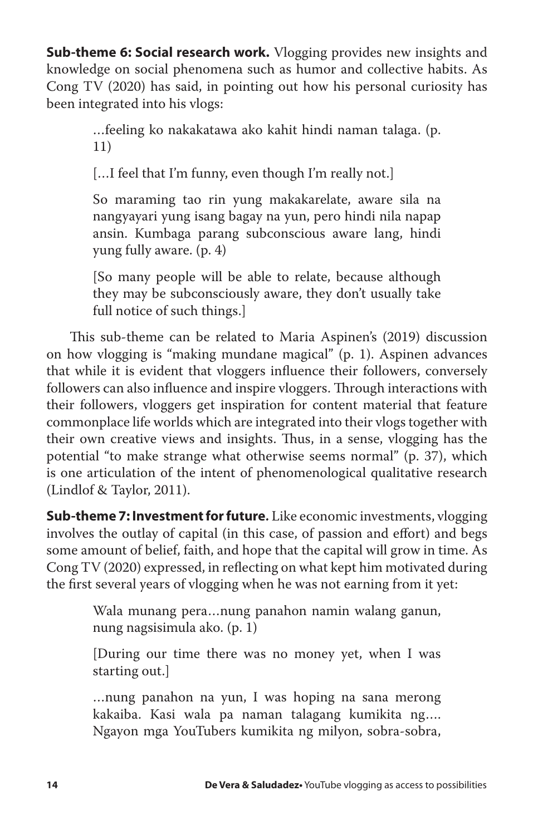**Sub-theme 6: Social research work.** Vlogging provides new insights and knowledge on social phenomena such as humor and collective habits. As Cong TV (2020) has said, in pointing out how his personal curiosity has been integrated into his vlogs:

> …feeling ko nakakatawa ako kahit hindi naman talaga. (p. 11)

[...I feel that I'm funny, even though I'm really not.]

So maraming tao rin yung makakarelate, aware sila na nangyayari yung isang bagay na yun, pero hindi nila napap ansin. Kumbaga parang subconscious aware lang, hindi yung fully aware. (p. 4)

[So many people will be able to relate, because although they may be subconsciously aware, they don't usually take full notice of such things.]

This sub-theme can be related to Maria Aspinen's (2019) discussion on how vlogging is "making mundane magical" (p. 1). Aspinen advances that while it is evident that vloggers influence their followers, conversely followers can also influence and inspire vloggers. Through interactions with their followers, vloggers get inspiration for content material that feature commonplace life worlds which are integrated into their vlogs together with their own creative views and insights. Thus, in a sense, vlogging has the potential "to make strange what otherwise seems normal" (p. 37), which is one articulation of the intent of phenomenological qualitative research (Lindlof & Taylor, 2011).

**Sub-theme 7: Investment for future.** Like economic investments, vlogging involves the outlay of capital (in this case, of passion and effort) and begs some amount of belief, faith, and hope that the capital will grow in time. As Cong TV (2020) expressed, in reflecting on what kept him motivated during the first several years of vlogging when he was not earning from it yet:

> Wala munang pera…nung panahon namin walang ganun, nung nagsisimula ako. (p. 1)

> [During our time there was no money yet, when I was starting out.]

> …nung panahon na yun, I was hoping na sana merong kakaiba. Kasi wala pa naman talagang kumikita ng…. Ngayon mga YouTubers kumikita ng milyon, sobra-sobra,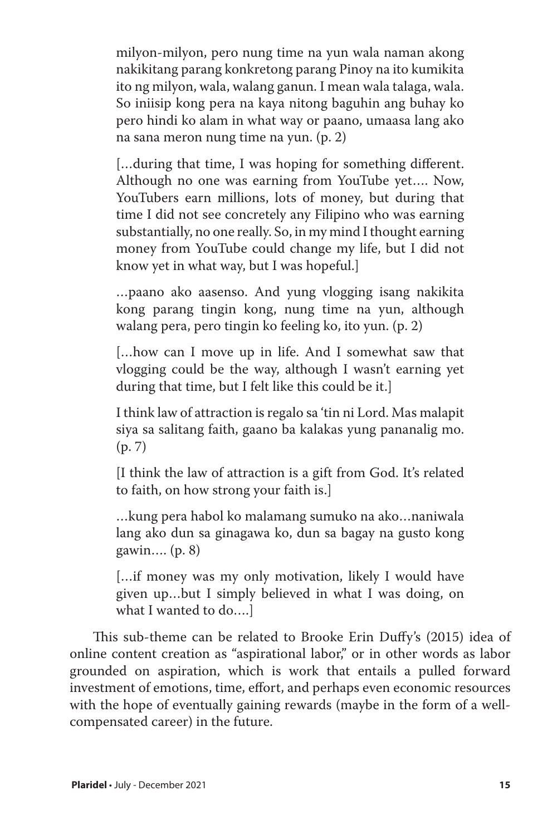milyon-milyon, pero nung time na yun wala naman akong nakikitang parang konkretong parang Pinoy na ito kumikita ito ng milyon, wala, walang ganun. I mean wala talaga, wala. So iniisip kong pera na kaya nitong baguhin ang buhay ko pero hindi ko alam in what way or paano, umaasa lang ako na sana meron nung time na yun. (p. 2)

[…during that time, I was hoping for something different. Although no one was earning from YouTube yet…. Now, YouTubers earn millions, lots of money, but during that time I did not see concretely any Filipino who was earning substantially, no one really. So, in my mind I thought earning money from YouTube could change my life, but I did not know yet in what way, but I was hopeful.]

…paano ako aasenso. And yung vlogging isang nakikita kong parang tingin kong, nung time na yun, although walang pera, pero tingin ko feeling ko, ito yun. (p. 2)

[...how can I move up in life. And I somewhat saw that vlogging could be the way, although I wasn't earning yet during that time, but I felt like this could be it.]

I think law of attraction is regalo sa 'tin ni Lord. Mas malapit siya sa salitang faith, gaano ba kalakas yung pananalig mo. (p. 7)

[I think the law of attraction is a gift from God. It's related to faith, on how strong your faith is.]

…kung pera habol ko malamang sumuko na ako…naniwala lang ako dun sa ginagawa ko, dun sa bagay na gusto kong gawin…. (p. 8)

[…if money was my only motivation, likely I would have given up…but I simply believed in what I was doing, on what I wanted to do….]

This sub-theme can be related to Brooke Erin Duffy's (2015) idea of online content creation as "aspirational labor," or in other words as labor grounded on aspiration, which is work that entails a pulled forward investment of emotions, time, effort, and perhaps even economic resources with the hope of eventually gaining rewards (maybe in the form of a wellcompensated career) in the future.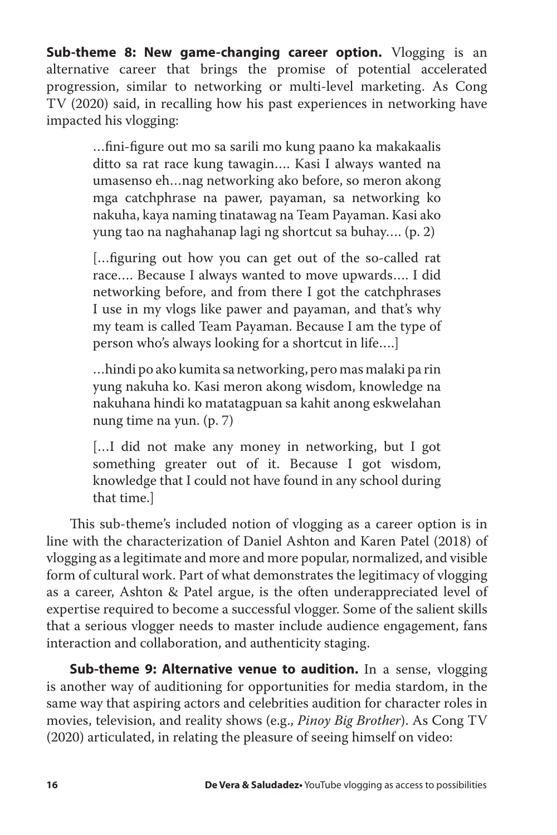**Sub-theme 8: New game-changing career option.** Vlogging is an alternative career that brings the promise of potential accelerated progression, similar to networking or multi-level marketing. As Cong TV (2020) said, in recalling how his past experiences in networking have impacted his vlogging:

> …fini-figure out mo sa sarili mo kung paano ka makakaalis ditto sa rat race kung tawagin…. Kasi I always wanted na umasenso eh…nag networking ako before, so meron akong mga catchphrase na pawer, payaman, sa networking ko nakuha, kaya naming tinatawag na Team Payaman. Kasi ako yung tao na naghahanap lagi ng shortcut sa buhay…. (p. 2)

> […figuring out how you can get out of the so-called rat race…. Because I always wanted to move upwards…. I did networking before, and from there I got the catchphrases I use in my vlogs like pawer and payaman, and that's why my team is called Team Payaman. Because I am the type of person who's always looking for a shortcut in life….]

> …hindi po ako kumita sa networking, pero mas malaki pa rin yung nakuha ko. Kasi meron akong wisdom, knowledge na nakuhana hindi ko matatagpuan sa kahit anong eskwelahan nung time na yun. (p. 7)

> [...] did not make any money in networking, but I got something greater out of it. Because I got wisdom, knowledge that I could not have found in any school during that time.]

This sub-theme's included notion of vlogging as a career option is in line with the characterization of Daniel Ashton and Karen Patel (2018) of vlogging as a legitimate and more and more popular, normalized, and visible form of cultural work. Part of what demonstrates the legitimacy of vlogging as a career, Ashton & Patel argue, is the often underappreciated level of expertise required to become a successful vlogger. Some of the salient skills that a serious vlogger needs to master include audience engagement, fans interaction and collaboration, and authenticity staging.

**Sub-theme 9: Alternative venue to audition.** In a sense, vlogging is another way of auditioning for opportunities for media stardom, in the same way that aspiring actors and celebrities audition for character roles in movies, television, and reality shows (e.g., *Pinoy Big Brother*). As Cong TV (2020) articulated, in relating the pleasure of seeing himself on video: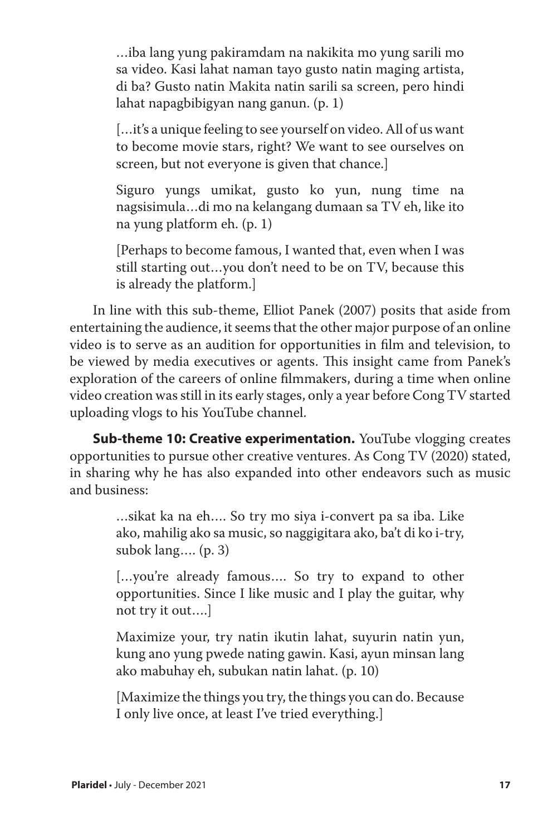…iba lang yung pakiramdam na nakikita mo yung sarili mo sa video. Kasi lahat naman tayo gusto natin maging artista, di ba? Gusto natin Makita natin sarili sa screen, pero hindi lahat napagbibigyan nang ganun. (p. 1)

[...it's a unique feeling to see yourself on video. All of us want to become movie stars, right? We want to see ourselves on screen, but not everyone is given that chance.]

Siguro yungs umikat, gusto ko yun, nung time na nagsisimula…di mo na kelangang dumaan sa TV eh, like ito na yung platform eh. (p. 1)

[Perhaps to become famous, I wanted that, even when I was still starting out…you don't need to be on TV, because this is already the platform.]

In line with this sub-theme, Elliot Panek (2007) posits that aside from entertaining the audience, it seems that the other major purpose of an online video is to serve as an audition for opportunities in film and television, to be viewed by media executives or agents. This insight came from Panek's exploration of the careers of online filmmakers, during a time when online video creation was still in its early stages, only a year before Cong TV started uploading vlogs to his YouTube channel.

**Sub-theme 10: Creative experimentation.** YouTube vlogging creates opportunities to pursue other creative ventures. As Cong TV (2020) stated, in sharing why he has also expanded into other endeavors such as music and business:

> …sikat ka na eh…. So try mo siya i-convert pa sa iba. Like ako, mahilig ako sa music, so naggigitara ako, ba't di ko i-try, subok lang…. (p. 3)

> […you're already famous…. So try to expand to other opportunities. Since I like music and I play the guitar, why not try it out….]

> Maximize your, try natin ikutin lahat, suyurin natin yun, kung ano yung pwede nating gawin. Kasi, ayun minsan lang ako mabuhay eh, subukan natin lahat. (p. 10)

> [Maximize the things you try, the things you can do. Because I only live once, at least I've tried everything.]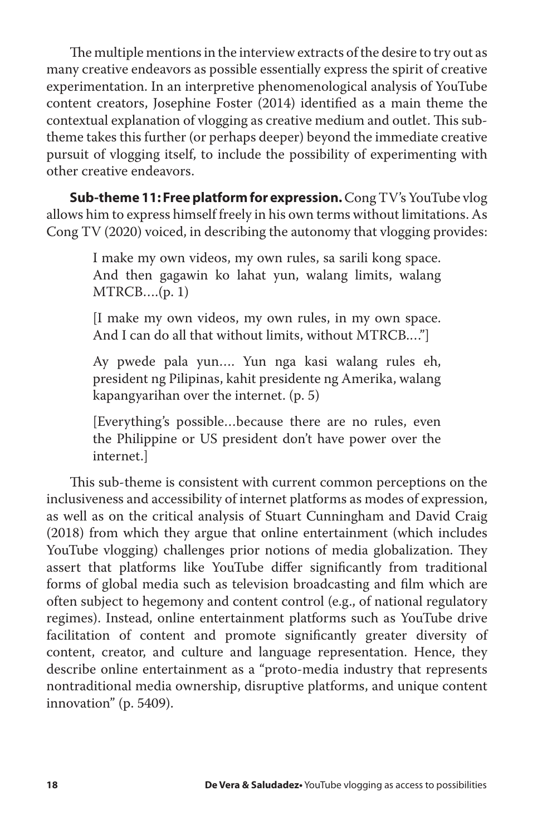The multiple mentions in the interview extracts of the desire to try out as many creative endeavors as possible essentially express the spirit of creative experimentation. In an interpretive phenomenological analysis of YouTube content creators, Josephine Foster (2014) identified as a main theme the contextual explanation of vlogging as creative medium and outlet. This subtheme takes this further (or perhaps deeper) beyond the immediate creative pursuit of vlogging itself, to include the possibility of experimenting with other creative endeavors.

**Sub-theme 11: Free platform for expression.**Cong TV's YouTube vlog allows him to express himself freely in his own terms without limitations. As Cong TV (2020) voiced, in describing the autonomy that vlogging provides:

> I make my own videos, my own rules, sa sarili kong space. And then gagawin ko lahat yun, walang limits, walang  $MTRCB....(p. 1)$

> [I make my own videos, my own rules, in my own space. And I can do all that without limits, without MTRCB.…"]

> Ay pwede pala yun…. Yun nga kasi walang rules eh, president ng Pilipinas, kahit presidente ng Amerika, walang kapangyarihan over the internet. (p. 5)

> [Everything's possible…because there are no rules, even the Philippine or US president don't have power over the internet.]

This sub-theme is consistent with current common perceptions on the inclusiveness and accessibility of internet platforms as modes of expression, as well as on the critical analysis of Stuart Cunningham and David Craig (2018) from which they argue that online entertainment (which includes YouTube vlogging) challenges prior notions of media globalization. They assert that platforms like YouTube differ significantly from traditional forms of global media such as television broadcasting and film which are often subject to hegemony and content control (e.g., of national regulatory regimes). Instead, online entertainment platforms such as YouTube drive facilitation of content and promote significantly greater diversity of content, creator, and culture and language representation. Hence, they describe online entertainment as a "proto-media industry that represents nontraditional media ownership, disruptive platforms, and unique content innovation" (p. 5409).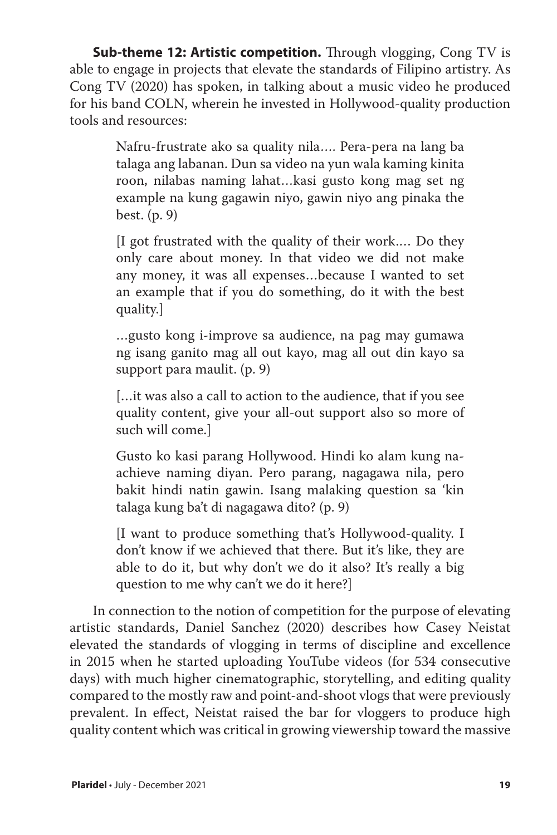**Sub-theme 12: Artistic competition.** Through vlogging, Cong TV is able to engage in projects that elevate the standards of Filipino artistry. As Cong TV (2020) has spoken, in talking about a music video he produced for his band COLN, wherein he invested in Hollywood-quality production tools and resources:

> Nafru-frustrate ako sa quality nila…. Pera-pera na lang ba talaga ang labanan. Dun sa video na yun wala kaming kinita roon, nilabas naming lahat…kasi gusto kong mag set ng example na kung gagawin niyo, gawin niyo ang pinaka the best. (p. 9)

> [I got frustrated with the quality of their work.… Do they only care about money. In that video we did not make any money, it was all expenses…because I wanted to set an example that if you do something, do it with the best quality.]

> …gusto kong i-improve sa audience, na pag may gumawa ng isang ganito mag all out kayo, mag all out din kayo sa support para maulit. (p. 9)

> […it was also a call to action to the audience, that if you see quality content, give your all-out support also so more of such will come.]

> Gusto ko kasi parang Hollywood. Hindi ko alam kung naachieve naming diyan. Pero parang, nagagawa nila, pero bakit hindi natin gawin. Isang malaking question sa 'kin talaga kung ba't di nagagawa dito? (p. 9)

> [I want to produce something that's Hollywood-quality. I don't know if we achieved that there. But it's like, they are able to do it, but why don't we do it also? It's really a big question to me why can't we do it here?]

In connection to the notion of competition for the purpose of elevating artistic standards, Daniel Sanchez (2020) describes how Casey Neistat elevated the standards of vlogging in terms of discipline and excellence in 2015 when he started uploading YouTube videos (for 534 consecutive days) with much higher cinematographic, storytelling, and editing quality compared to the mostly raw and point-and-shoot vlogs that were previously prevalent. In effect, Neistat raised the bar for vloggers to produce high quality content which was critical in growing viewership toward the massive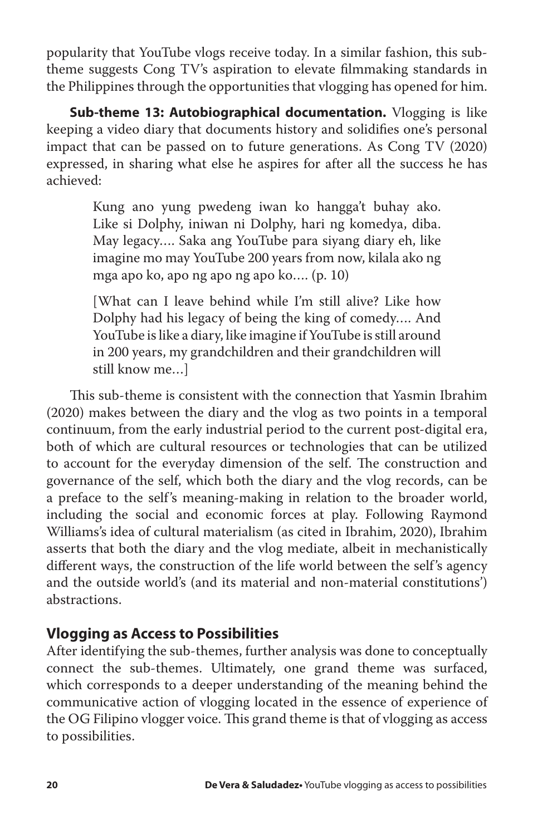popularity that YouTube vlogs receive today. In a similar fashion, this subtheme suggests Cong TV's aspiration to elevate filmmaking standards in the Philippines through the opportunities that vlogging has opened for him.

**Sub-theme 13: Autobiographical documentation.** Vlogging is like keeping a video diary that documents history and solidifies one's personal impact that can be passed on to future generations. As Cong TV (2020) expressed, in sharing what else he aspires for after all the success he has achieved:

> Kung ano yung pwedeng iwan ko hangga't buhay ako. Like si Dolphy, iniwan ni Dolphy, hari ng komedya, diba. May legacy…. Saka ang YouTube para siyang diary eh, like imagine mo may YouTube 200 years from now, kilala ako ng mga apo ko, apo ng apo ng apo ko…. (p. 10)

> [What can I leave behind while I'm still alive? Like how Dolphy had his legacy of being the king of comedy…. And YouTube is like a diary, like imagine if YouTube is still around in 200 years, my grandchildren and their grandchildren will still know me…]

This sub-theme is consistent with the connection that Yasmin Ibrahim (2020) makes between the diary and the vlog as two points in a temporal continuum, from the early industrial period to the current post-digital era, both of which are cultural resources or technologies that can be utilized to account for the everyday dimension of the self. The construction and governance of the self, which both the diary and the vlog records, can be a preface to the self's meaning-making in relation to the broader world, including the social and economic forces at play. Following Raymond Williams's idea of cultural materialism (as cited in Ibrahim, 2020), Ibrahim asserts that both the diary and the vlog mediate, albeit in mechanistically different ways, the construction of the life world between the self's agency and the outside world's (and its material and non-material constitutions') abstractions.

## **Vlogging as Access to Possibilities**

After identifying the sub-themes, further analysis was done to conceptually connect the sub-themes. Ultimately, one grand theme was surfaced, which corresponds to a deeper understanding of the meaning behind the communicative action of vlogging located in the essence of experience of the OG Filipino vlogger voice. This grand theme is that of vlogging as access to possibilities.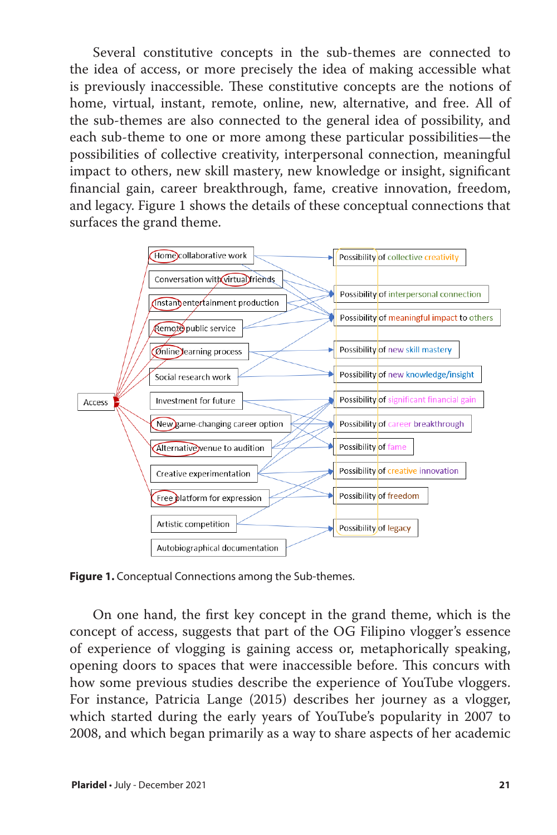Several constitutive concepts in the sub-themes are connected to the idea of access, or more precisely the idea of making accessible what is previously inaccessible. These constitutive concepts are the notions of home, virtual, instant, remote, online, new, alternative, and free. All of the sub-themes are also connected to the general idea of possibility, and each sub-theme to one or more among these particular possibilities—the possibilities of collective creativity, interpersonal connection, meaningful impact to others, new skill mastery, new knowledge or insight, significant financial gain, career breakthrough, fame, creative innovation, freedom, and legacy. Figure 1 shows the details of these conceptual connections that surfaces the grand theme.



**Figure 1.** Conceptual Connections among the Sub-themes.

On one hand, the first key concept in the grand theme, which is the concept of access, suggests that part of the OG Filipino vlogger's essence of experience of vlogging is gaining access or, metaphorically speaking, opening doors to spaces that were inaccessible before. This concurs with how some previous studies describe the experience of YouTube vloggers. For instance, Patricia Lange (2015) describes her journey as a vlogger, which started during the early years of YouTube's popularity in 2007 to 2008, and which began primarily as a way to share aspects of her academic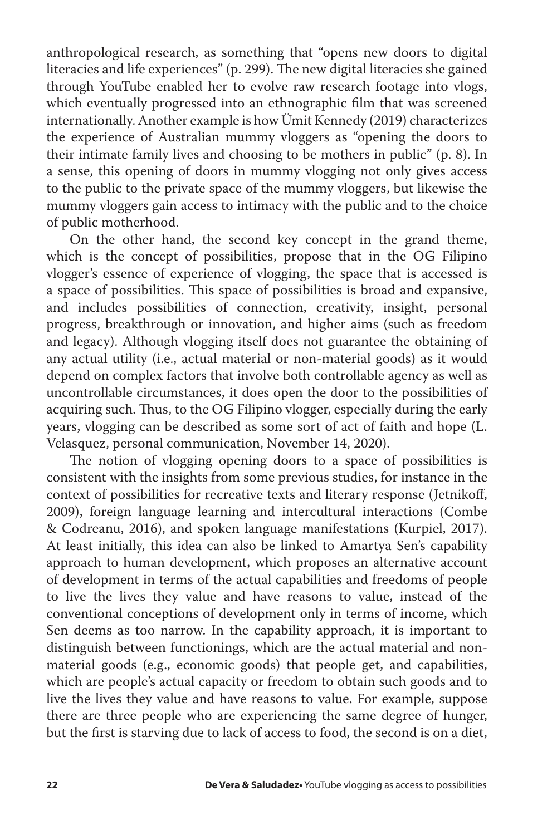anthropological research, as something that "opens new doors to digital literacies and life experiences" (p. 299). The new digital literacies she gained through YouTube enabled her to evolve raw research footage into vlogs, which eventually progressed into an ethnographic film that was screened internationally. Another example is how Ümit Kennedy (2019) characterizes the experience of Australian mummy vloggers as "opening the doors to their intimate family lives and choosing to be mothers in public" (p. 8). In a sense, this opening of doors in mummy vlogging not only gives access to the public to the private space of the mummy vloggers, but likewise the mummy vloggers gain access to intimacy with the public and to the choice of public motherhood.

On the other hand, the second key concept in the grand theme, which is the concept of possibilities, propose that in the OG Filipino vlogger's essence of experience of vlogging, the space that is accessed is a space of possibilities. This space of possibilities is broad and expansive, and includes possibilities of connection, creativity, insight, personal progress, breakthrough or innovation, and higher aims (such as freedom and legacy). Although vlogging itself does not guarantee the obtaining of any actual utility (i.e., actual material or non-material goods) as it would depend on complex factors that involve both controllable agency as well as uncontrollable circumstances, it does open the door to the possibilities of acquiring such. Thus, to the OG Filipino vlogger, especially during the early years, vlogging can be described as some sort of act of faith and hope (L. Velasquez, personal communication, November 14, 2020).

The notion of vlogging opening doors to a space of possibilities is consistent with the insights from some previous studies, for instance in the context of possibilities for recreative texts and literary response (Jetnikoff, 2009), foreign language learning and intercultural interactions (Combe & Codreanu, 2016), and spoken language manifestations (Kurpiel, 2017). At least initially, this idea can also be linked to Amartya Sen's capability approach to human development, which proposes an alternative account of development in terms of the actual capabilities and freedoms of people to live the lives they value and have reasons to value, instead of the conventional conceptions of development only in terms of income, which Sen deems as too narrow. In the capability approach, it is important to distinguish between functionings, which are the actual material and nonmaterial goods (e.g., economic goods) that people get, and capabilities, which are people's actual capacity or freedom to obtain such goods and to live the lives they value and have reasons to value. For example, suppose there are three people who are experiencing the same degree of hunger, but the first is starving due to lack of access to food, the second is on a diet,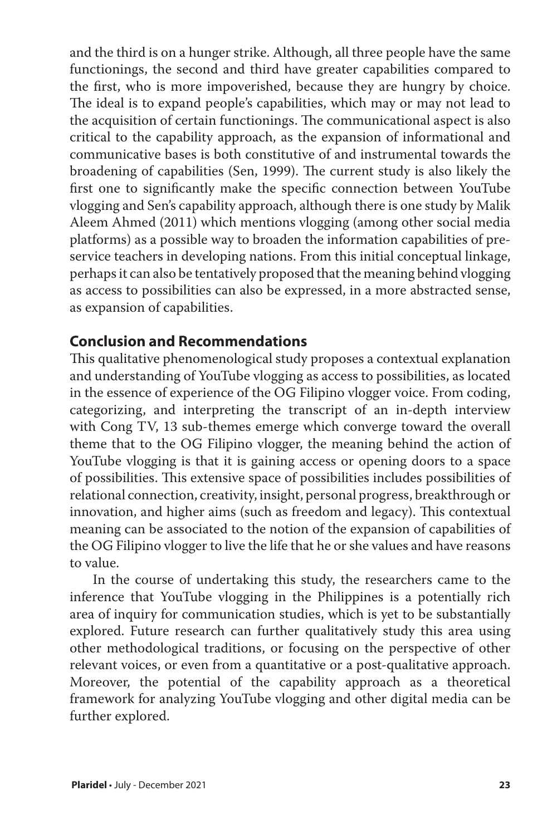and the third is on a hunger strike. Although, all three people have the same functionings, the second and third have greater capabilities compared to the first, who is more impoverished, because they are hungry by choice. The ideal is to expand people's capabilities, which may or may not lead to the acquisition of certain functionings. The communicational aspect is also critical to the capability approach, as the expansion of informational and communicative bases is both constitutive of and instrumental towards the broadening of capabilities (Sen, 1999). The current study is also likely the first one to significantly make the specific connection between YouTube vlogging and Sen's capability approach, although there is one study by Malik Aleem Ahmed (2011) which mentions vlogging (among other social media platforms) as a possible way to broaden the information capabilities of preservice teachers in developing nations. From this initial conceptual linkage, perhaps it can also be tentatively proposed that the meaning behind vlogging as access to possibilities can also be expressed, in a more abstracted sense, as expansion of capabilities.

## **Conclusion and Recommendations**

This qualitative phenomenological study proposes a contextual explanation and understanding of YouTube vlogging as access to possibilities, as located in the essence of experience of the OG Filipino vlogger voice. From coding, categorizing, and interpreting the transcript of an in-depth interview with Cong TV, 13 sub-themes emerge which converge toward the overall theme that to the OG Filipino vlogger, the meaning behind the action of YouTube vlogging is that it is gaining access or opening doors to a space of possibilities. This extensive space of possibilities includes possibilities of relational connection, creativity, insight, personal progress, breakthrough or innovation, and higher aims (such as freedom and legacy). This contextual meaning can be associated to the notion of the expansion of capabilities of the OG Filipino vlogger to live the life that he or she values and have reasons to value.

In the course of undertaking this study, the researchers came to the inference that YouTube vlogging in the Philippines is a potentially rich area of inquiry for communication studies, which is yet to be substantially explored. Future research can further qualitatively study this area using other methodological traditions, or focusing on the perspective of other relevant voices, or even from a quantitative or a post-qualitative approach. Moreover, the potential of the capability approach as a theoretical framework for analyzing YouTube vlogging and other digital media can be further explored.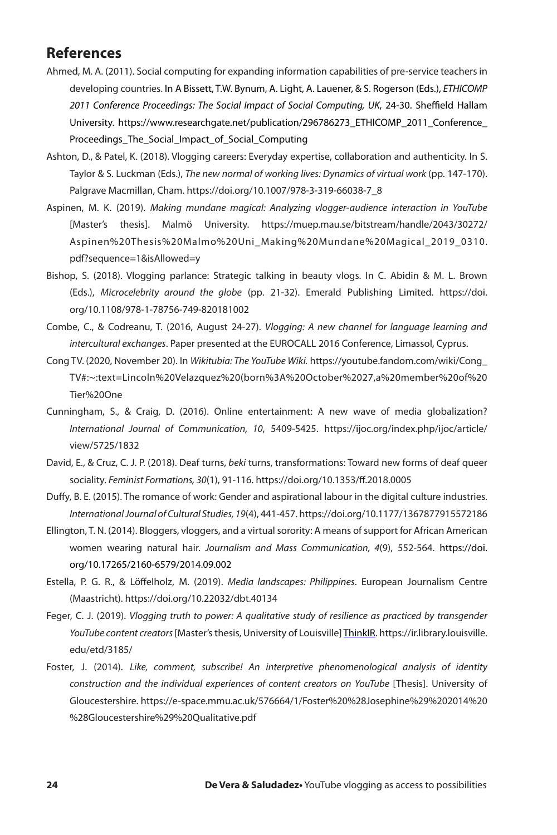## **References**

- Ahmed, M. A. (2011). Social computing for expanding information capabilities of pre-service teachers in developing countries. In A Bissett, T.W. Bynum, A. Light, A. Lauener, & S. Rogerson (Eds.), *ETHICOMP 2011 Conference Proceedings: The Social Impact of Social Computing, UK*, 24-30. Sheffield Hallam University. https://www.researchgate.net/publication/296786273\_ETHICOMP\_2011\_Conference\_ Proceedings\_The\_Social\_Impact\_of\_Social\_Computing
- Ashton, D., & Patel, K. (2018). Vlogging careers: Everyday expertise, collaboration and authenticity. In S. Taylor & S. Luckman (Eds.), *The new normal of working lives: Dynamics of virtual work* (pp. 147-170). Palgrave Macmillan, Cham. https://doi.org/10.1007/978-3-319-66038-7\_8
- Aspinen, M. K. (2019). *Making mundane magical: Analyzing vlogger-audience interaction in YouTube* [Master's thesis]. Malmö University. https://muep.mau.se/bitstream/handle/2043/30272/ Aspinen%20Thesis%20Malmo%20Uni\_Making%20Mundane%20Magical\_2019\_0310. pdf?sequence=1&isAllowed=y
- Bishop, S. (2018). Vlogging parlance: Strategic talking in beauty vlogs. In C. Abidin & M. L. Brown (Eds.), *Microcelebrity around the globe* (pp. 21-32). Emerald Publishing Limited. https://doi. org/10.1108/978-1-78756-749-820181002
- Combe, C., & Codreanu, T. (2016, August 24-27). *Vlogging: A new channel for language learning and intercultural exchanges*. Paper presented at the EUROCALL 2016 Conference, Limassol, Cyprus.
- Cong TV. (2020, November 20). In *Wikitubia: The YouTube Wiki.* https://youtube.fandom.com/wiki/Cong\_ TV#:~:text=Lincoln%20Velazquez%20(born%3A%20October%2027,a%20member%20of%20 Tier%20One
- Cunningham, S., & Craig, D. (2016). Online entertainment: A new wave of media globalization? *International Journal of Communication, 10*, 5409-5425. https://ijoc.org/index.php/ijoc/article/ view/5725/1832
- David, E., & Cruz, C. J. P. (2018). Deaf turns, *beki* turns, transformations: Toward new forms of deaf queer sociality. *Feminist Formations, 30*(1), 91-116. https://doi.org/10.1353/ff.2018.0005
- Duffy, B. E. (2015). The romance of work: Gender and aspirational labour in the digital culture industries. *International Journal of Cultural Studies, 19*(4), 441-457. https://doi.org/10.1177/1367877915572186
- Ellington, T. N. (2014). Bloggers, vloggers, and a virtual sorority: A means of support for African American women wearing natural hair. *Journalism and Mass Communication, 4*(9), 552-564. https://doi. org/10.17265/2160-6579/2014.09.002
- Estella, P. G. R., & Löffelholz, M. (2019). *Media landscapes: Philippines*. European Journalism Centre (Maastricht). https://doi.org/10.22032/dbt.40134
- Feger, C. J. (2019). *Vlogging truth to power: A qualitative study of resilience as practiced by transgender YouTube content creators* [Master's thesis, University of Louisville] ThinkIR. https://ir.library.louisville. edu/etd/3185/
- Foster, J. (2014). *Like, comment, subscribe! An interpretive phenomenological analysis of identity construction and the individual experiences of content creators on YouTube* [Thesis]. University of Gloucestershire. https://e-space.mmu.ac.uk/576664/1/Foster%20%28Josephine%29%202014%20 %28Gloucestershire%29%20Qualitative.pdf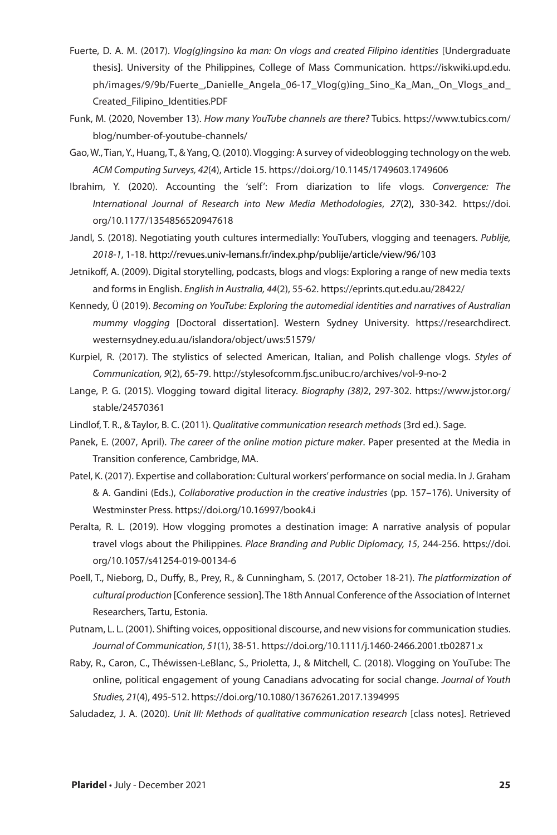- Fuerte, D. A. M. (2017). *Vlog(g)ingsino ka man: On vlogs and created Filipino identities* [Undergraduate thesis]. University of the Philippines, College of Mass Communication. https://iskwiki.upd.edu. ph/images/9/9b/Fuerte\_,Danielle\_Angela\_06-17\_Vlog(g)ing\_Sino\_Ka\_Man,\_On\_Vlogs\_and\_ Created\_Filipino\_Identities.PDF
- Funk, M. (2020, November 13). *How many YouTube channels are there?* Tubics. https://www.tubics.com/ blog/number-of-youtube-channels/
- Gao, W., Tian, Y., Huang, T., & Yang, Q. (2010). Vlogging: A survey of videoblogging technology on the web. *ACM Computing Surveys, 42*(4), Article 15. https://doi.org/10.1145/1749603.1749606
- Ibrahim, Y. (2020). Accounting the 'self': From diarization to life vlogs. *Convergence: The International Journal of Research into New Media Methodologies*, *27*(2), 330-342. https://doi. org/10.1177/1354856520947618
- Jandl, S. (2018). Negotiating youth cultures intermedially: YouTubers, vlogging and teenagers. *Publije, 2018-1*, 1-18. http://revues.univ-lemans.fr/index.php/publije/article/view/96/103
- Jetnikoff, A. (2009). Digital storytelling, podcasts, blogs and vlogs: Exploring a range of new media texts and forms in English. *English in Australia, 44*(2), 55-62. https://eprints.qut.edu.au/28422/
- Kennedy, Ü (2019). *Becoming on YouTube: Exploring the automedial identities and narratives of Australian mummy vlogging* [Doctoral dissertation]. Western Sydney University. https://researchdirect. westernsydney.edu.au/islandora/object/uws:51579/
- Kurpiel, R. (2017). The stylistics of selected American, Italian, and Polish challenge vlogs. *Styles of Communication, 9*(2), 65-79. http://stylesofcomm.fjsc.unibuc.ro/archives/vol-9-no-2
- Lange, P. G. (2015). Vlogging toward digital literacy. *Biography (38)*2, 297-302. https://www.jstor.org/ stable/24570361
- Lindlof, T. R., & Taylor, B. C. (2011). *Qualitative communication research methods* (3rd ed.). Sage.
- Panek, E. (2007, April). *The career of the online motion picture maker*. Paper presented at the Media in Transition conference, Cambridge, MA.
- Patel, K. (2017). Expertise and collaboration: Cultural workers' performance on social media. In J. Graham & A. Gandini (Eds.), *Collaborative production in the creative industries* (pp. 157–176). University of Westminster Press. https://doi.org/10.16997/book4.i
- Peralta, R. L. (2019). How vlogging promotes a destination image: A narrative analysis of popular travel vlogs about the Philippines. *Place Branding and Public Diplomacy, 15*, 244-256. https://doi. org/10.1057/s41254-019-00134-6
- Poell, T., Nieborg, D., Duffy, B., Prey, R., & Cunningham, S. (2017, October 18-21). *The platformization of cultural production* [Conference session]. The 18th Annual Conference of the Association of Internet Researchers, Tartu, Estonia.
- Putnam, L. L. (2001). Shifting voices, oppositional discourse, and new visions for communication studies. *Journal of Communication, 51*(1), 38-51. https://doi.org/10.1111/j.1460-2466.2001.tb02871.x
- Raby, R., Caron, C., Théwissen-LeBlanc, S., Prioletta, J., & Mitchell, C. (2018). Vlogging on YouTube: The online, political engagement of young Canadians advocating for social change. *Journal of Youth Studies, 21*(4), 495-512. https://doi.org/10.1080/13676261.2017.1394995
- Saludadez, J. A. (2020). *Unit III: Methods of qualitative communication research* [class notes]. Retrieved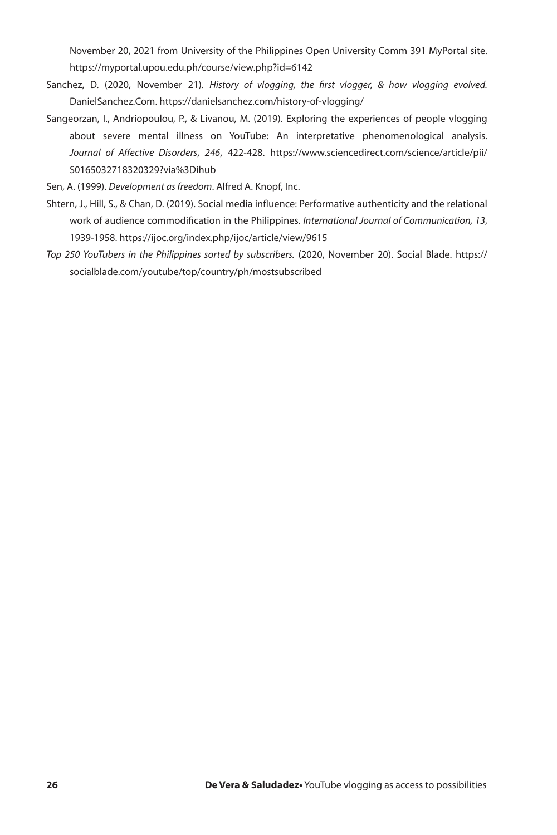November 20, 2021 from University of the Philippines Open University Comm 391 MyPortal site. https://myportal.upou.edu.ph/course/view.php?id=6142

- Sanchez, D. (2020, November 21). *History of vlogging, the first vlogger, & how vlogging evolved.* DanielSanchez.Com. https://danielsanchez.com/history-of-vlogging/
- Sangeorzan, I., Andriopoulou, P., & Livanou, M. (2019). Exploring the experiences of people vlogging about severe mental illness on YouTube: An interpretative phenomenological analysis. *Journal of Affective Disorders*, *246*, 422-428. https://www.sciencedirect.com/science/article/pii/ S0165032718320329?via%3Dihub

Sen, A. (1999). *Development as freedom*. Alfred A. Knopf, Inc.

- Shtern, J., Hill, S., & Chan, D. (2019). Social media influence: Performative authenticity and the relational work of audience commodification in the Philippines. *International Journal of Communication, 13*, 1939-1958. https://ijoc.org/index.php/ijoc/article/view/9615
- *Top 250 YouTubers in the Philippines sorted by subscribers.* (2020, November 20). Social Blade. https:// socialblade.com/youtube/top/country/ph/mostsubscribed